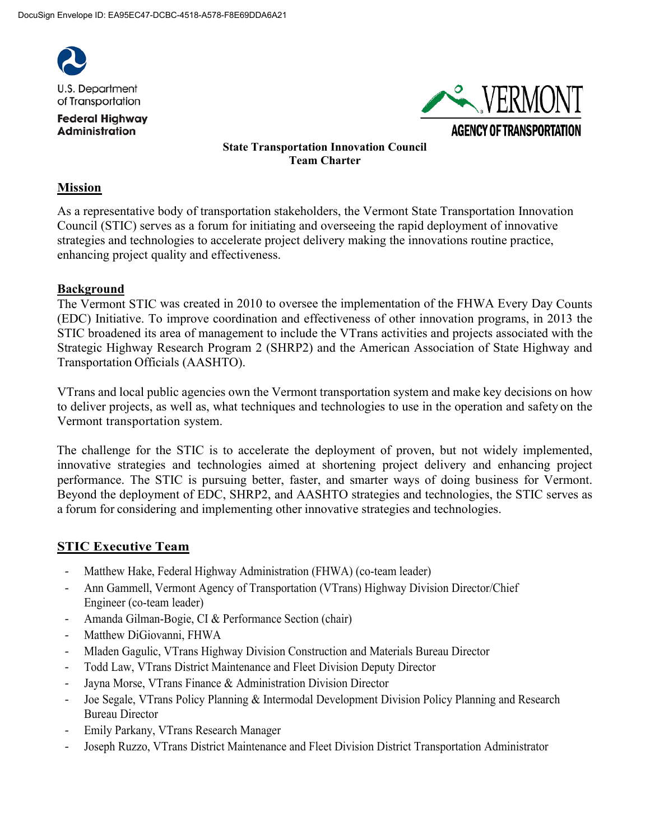

**Federal Highway Administration** 



# **State Transportation Innovation Council Team Charter**

#### **Mission**

As a representative body of transportation stakeholders, the Vermont State Transportation Innovation Council (STIC) serves as a forum for initiating and overseeing the rapid deployment of innovative strategies and technologies to accelerate project delivery making the innovations routine practice, enhancing project quality and effectiveness.

#### **Background**

The Vermont STIC was created in 2010 to oversee the implementation of the FHWA Every Day Counts (EDC) Initiative. To improve coordination and effectiveness of other innovation programs, in 2013 the STIC broadened its area of management to include the VTrans activities and projects associated with the Strategic Highway Research Program 2 (SHRP2) and the American Association of State Highway and Transportation Officials (AASHTO).

VTrans and local public agencies own the Vermont transportation system and make key decisions on how to deliver projects, as well as, what techniques and technologies to use in the operation and safety on the Vermont transportation system.

The challenge for the STIC is to accelerate the deployment of proven, but not widely implemented, innovative strategies and technologies aimed at shortening project delivery and enhancing project performance. The STIC is pursuing better, faster, and smarter ways of doing business for Vermont. Beyond the deployment of EDC, SHRP2, and AASHTO strategies and technologies, the STIC serves as a forum for considering and implementing other innovative strategies and technologies.

# **STIC Executive Team**

- Matthew Hake, Federal Highway Administration (FHWA) (co-team leader)
- Ann Gammell, Vermont Agency of Transportation (VTrans) Highway Division Director/Chief Engineer (co-team leader)
- Amanda Gilman-Bogie, CI & Performance Section (chair)
- Matthew DiGiovanni, FHWA
- Mladen Gagulic, VTrans Highway Division Construction and Materials Bureau Director
- Todd Law, VTrans District Maintenance and Fleet Division Deputy Director
- Jayna Morse, VTrans Finance & Administration Division Director
- Joe Segale, VTrans Policy Planning & Intermodal Development Division Policy Planning and Research Bureau Director
- Emily Parkany, VTrans Research Manager
- Joseph Ruzzo, VTrans District Maintenance and Fleet Division District Transportation Administrator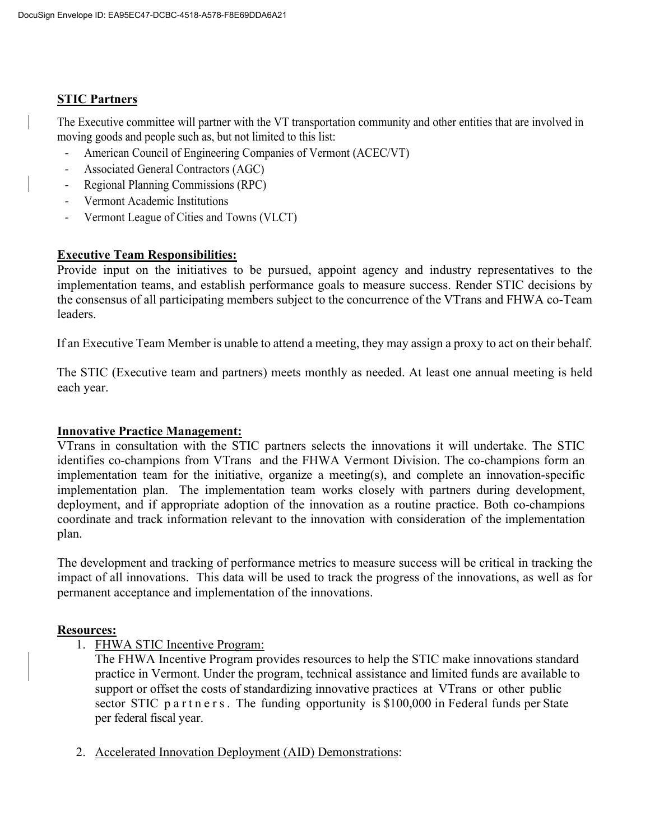# **STIC Partners**

The Executive committee will partner with the VT transportation community and other entities that are involved in moving goods and people such as, but not limited to this list:

- American Council of Engineering Companies of Vermont (ACEC/VT)
- Associated General Contractors (AGC)
- Regional Planning Commissions (RPC)
- Vermont Academic Institutions
- Vermont League of Cities and Towns (VLCT)

# **Executive Team Responsibilities:**

Provide input on the initiatives to be pursued, appoint agency and industry representatives to the implementation teams, and establish performance goals to measure success. Render STIC decisions by the consensus of all participating members subject to the concurrence of the VTrans and FHWA co-Team leaders.

If an Executive Team Member is unable to attend a meeting, they may assign a proxy to act on their behalf.

The STIC (Executive team and partners) meets monthly as needed. At least one annual meeting is held each year.

# **Innovative Practice Management:**

VTrans in consultation with the STIC partners selects the innovations it will undertake. The STIC identifies co-champions from VTrans and the FHWA Vermont Division. The co-champions form an implementation team for the initiative, organize a meeting(s), and complete an innovation-specific implementation plan. The implementation team works closely with partners during development, deployment, and if appropriate adoption of the innovation as a routine practice. Both co-champions coordinate and track information relevant to the innovation with consideration of the implementation plan.

The development and tracking of performance metrics to measure success will be critical in tracking the impact of all innovations. This data will be used to track the progress of the innovations, as well as for permanent acceptance and implementation of the innovations.

# **Resources:**

1. FHWA STIC Incentive Program:

The FHWA Incentive Program provides resources to help the STIC make innovations standard practice in Vermont. Under the program, technical assistance and limited funds are available to support or offset the costs of standardizing innovative practices at VTrans or other public sector STIC partners. The funding opportunity is \$100,000 in Federal funds per State per federal fiscal year.

2. Accelerated Innovation Deployment (AID) Demonstrations: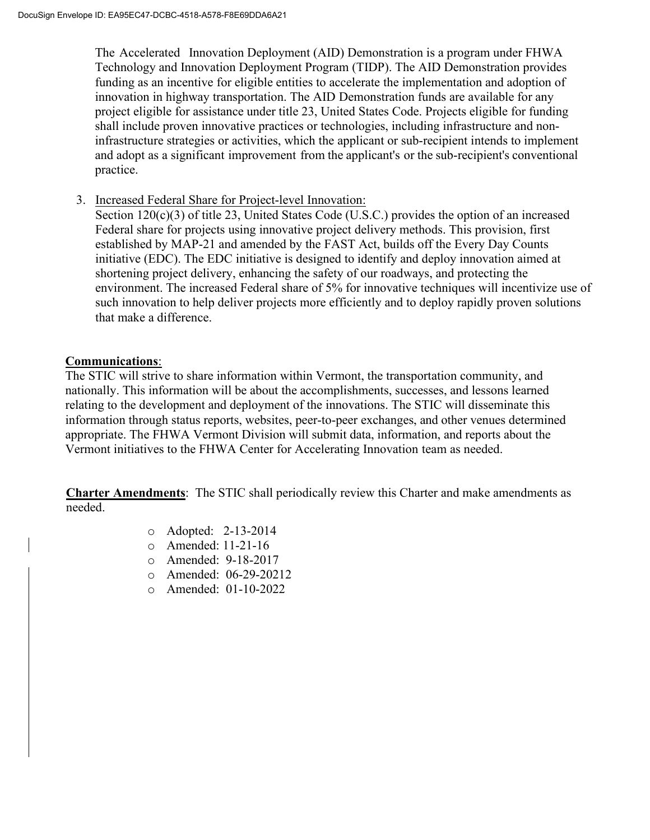The Accelerated Innovation Deployment (AID) Demonstration is a program under FHWA Technology and Innovation Deployment Program (TIDP). The AID Demonstration provides funding as an incentive for eligible entities to accelerate the implementation and adoption of innovation in highway transportation. The AID Demonstration funds are available for any project eligible for assistance under title 23, United States Code. Projects eligible for funding shall include proven innovative practices or technologies, including infrastructure and noninfrastructure strategies or activities, which the applicant or sub-recipient intends to implement and adopt as a significant improvement from the applicant's or the sub-recipient's conventional practice.

3. Increased Federal Share for Project-level Innovation:

Section 120(c)(3) of title 23, United States Code (U.S.C.) provides the option of an increased Federal share for projects using innovative project delivery methods. This provision, first established by MAP-21 and amended by the FAST Act, builds off the Every Day Counts initiative (EDC). The EDC initiative is designed to identify and deploy innovation aimed at shortening project delivery, enhancing the safety of our roadways, and protecting the environment. The increased Federal share of 5% for innovative techniques will incentivize use of such innovation to help deliver projects more efficiently and to deploy rapidly proven solutions that make a difference.

### **Communications**:

The STIC will strive to share information within Vermont, the transportation community, and nationally. This information will be about the accomplishments, successes, and lessons learned relating to the development and deployment of the innovations. The STIC will disseminate this information through status reports, websites, peer-to-peer exchanges, and other venues determined appropriate. The FHWA Vermont Division will submit data, information, and reports about the Vermont initiatives to the FHWA Center for Accelerating Innovation team as needed.

**Charter Amendments**: The STIC shall periodically review this Charter and make amendments as needed.

- o Adopted: 2-13-2014
- o Amended: 11-21-16
- o Amended: 9-18-2017
- o Amended: 06-29-20212
- o Amended: 01-10-2022